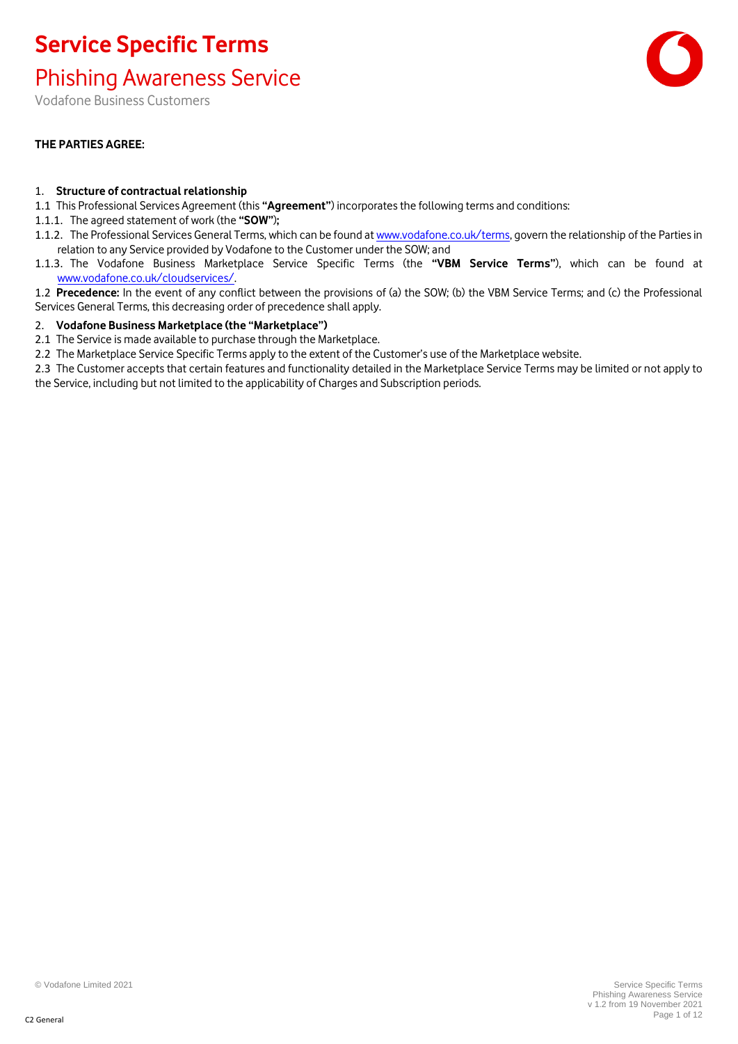Phishing Awareness Service

Vodafone Business Customers

### **THE PARTIES AGREE:**

#### 1. **Structure of contractual relationship**

- 1.1 This Professional Services Agreement (this **"Agreement"**) incorporates the following terms and conditions:
- 1.1.1. The agreed statement of work (the **"SOW"**)**;**
- 1.1.2. The Professional Services General Terms, which can be found at [www.vodafone.co.uk/terms,](http://www.vodafone.co.uk/terms) govern the relationship of the Parties in relation to any Service provided by Vodafone to the Customer under the SOW; and
- 1.1.3. The Vodafone Business Marketplace Service Specific Terms (the **"VBM Service Terms"**), which can be found at [www.vodafone.co.uk/cloudservices/.](http://www.vodafone.co.uk/cloudservices/)
- 1.2 **Precedence:** In the event of any conflict between the provisions of (a) the SOW; (b) the VBM Service Terms; and (c) the Professional Services General Terms, this decreasing order of precedence shall apply.

#### 2. **Vodafone Business Marketplace (the "Marketplace")**

2.1 The Service is made available to purchase through the Marketplace.

2.2 The Marketplace Service Specific Terms apply to the extent of the Customer's use of the Marketplace website.

2.3 The Customer accepts that certain features and functionality detailed in the Marketplace Service Terms may be limited or not apply to the Service, including but not limited to the applicability of Charges and Subscription periods.

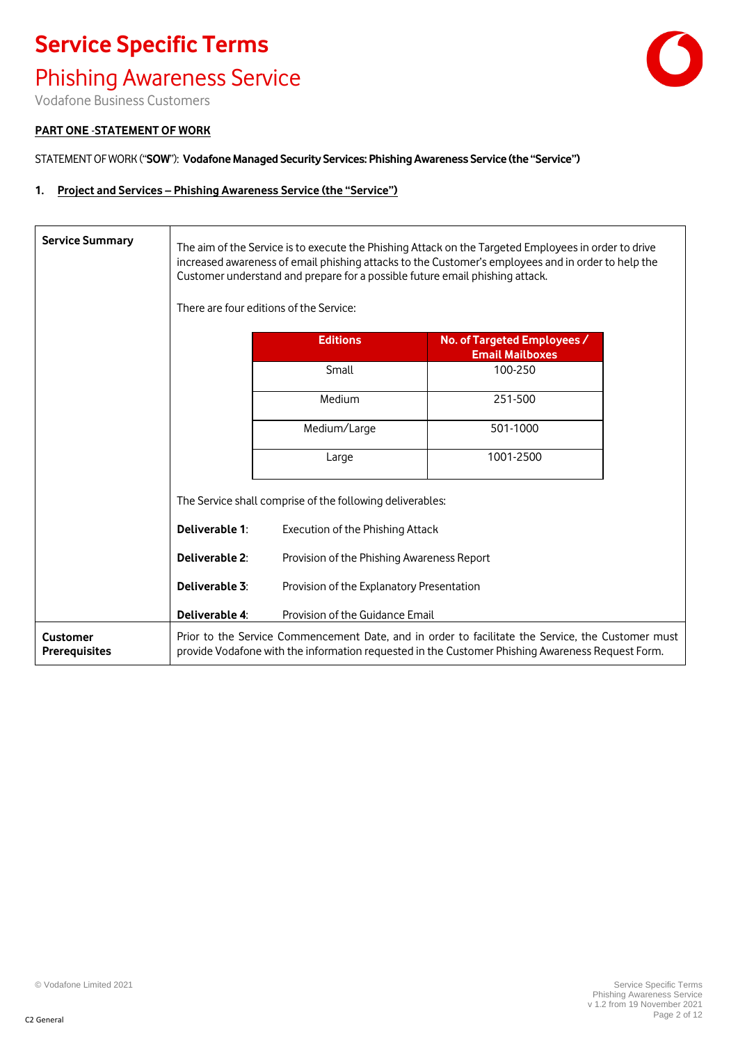### Phishing Awareness Service



Vodafone Business Customers

#### **PART ONE** -**STATEMENT OF WORK**

STATEMENT OF WORK ("**SOW**"): **Vodafone Managed Security Services: Phishing Awareness Service (the "Service")**

#### **1. Project and Services – Phishing Awareness Service (the "Service")**

| <b>Service Summary</b>                  | The aim of the Service is to execute the Phishing Attack on the Targeted Employees in order to drive<br>increased awareness of email phishing attacks to the Customer's employees and in order to help the<br>Customer understand and prepare for a possible future email phishing attack.<br>There are four editions of the Service: |                                                                                                                                                                                                       |                                                       |
|-----------------------------------------|---------------------------------------------------------------------------------------------------------------------------------------------------------------------------------------------------------------------------------------------------------------------------------------------------------------------------------------|-------------------------------------------------------------------------------------------------------------------------------------------------------------------------------------------------------|-------------------------------------------------------|
|                                         |                                                                                                                                                                                                                                                                                                                                       | <b>Editions</b>                                                                                                                                                                                       | No. of Targeted Employees /<br><b>Email Mailboxes</b> |
|                                         |                                                                                                                                                                                                                                                                                                                                       | Small                                                                                                                                                                                                 | 100-250                                               |
|                                         |                                                                                                                                                                                                                                                                                                                                       | Medium                                                                                                                                                                                                | 251-500                                               |
|                                         |                                                                                                                                                                                                                                                                                                                                       | Medium/Large                                                                                                                                                                                          | 501-1000                                              |
|                                         |                                                                                                                                                                                                                                                                                                                                       | Large                                                                                                                                                                                                 | 1001-2500                                             |
|                                         |                                                                                                                                                                                                                                                                                                                                       | The Service shall comprise of the following deliverables:                                                                                                                                             |                                                       |
|                                         | Deliverable 1:                                                                                                                                                                                                                                                                                                                        | Execution of the Phishing Attack                                                                                                                                                                      |                                                       |
|                                         | Deliverable 2:                                                                                                                                                                                                                                                                                                                        | Provision of the Phishing Awareness Report                                                                                                                                                            |                                                       |
|                                         | Deliverable 3:                                                                                                                                                                                                                                                                                                                        | Provision of the Explanatory Presentation                                                                                                                                                             |                                                       |
|                                         | Deliverable 4:                                                                                                                                                                                                                                                                                                                        | Provision of the Guidance Email                                                                                                                                                                       |                                                       |
| <b>Customer</b><br><b>Prerequisites</b> |                                                                                                                                                                                                                                                                                                                                       | Prior to the Service Commencement Date, and in order to facilitate the Service, the Customer must<br>provide Vodafone with the information requested in the Customer Phishing Awareness Request Form. |                                                       |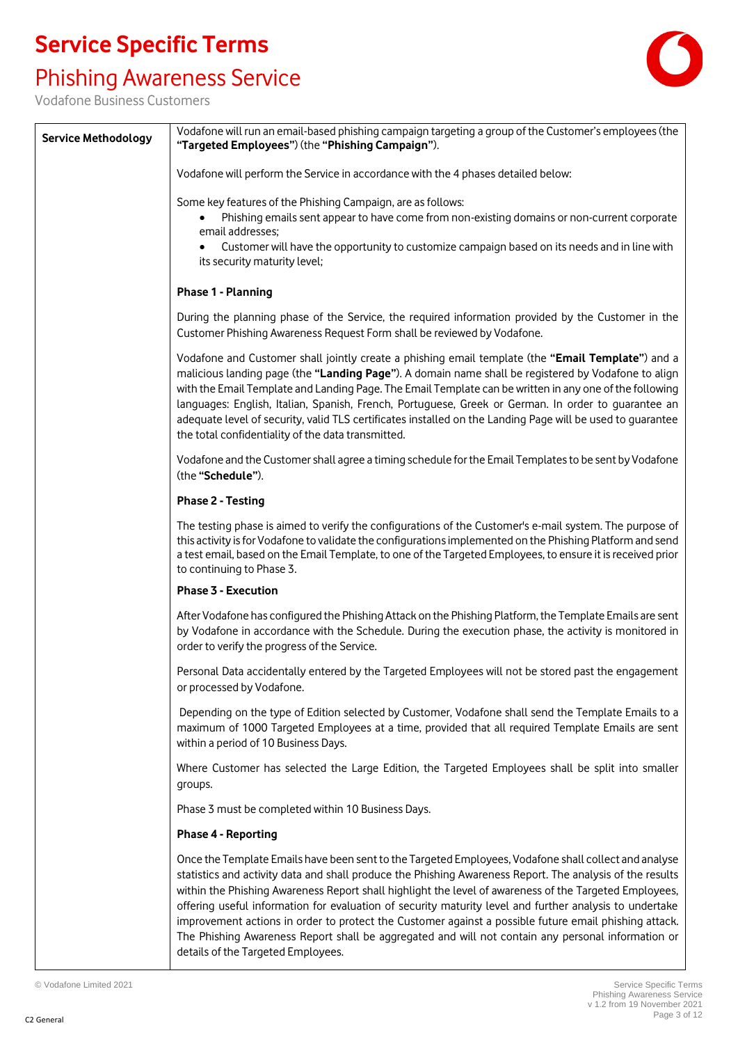# Phishing Awareness Service



| <b>Service Methodology</b> | Vodafone will run an email-based phishing campaign targeting a group of the Customer's employees (the<br>"Targeted Employees") (the "Phishing Campaign").                                                                                                                                                                                                                                                                                                                                                                                                                                                                                                                                    |  |
|----------------------------|----------------------------------------------------------------------------------------------------------------------------------------------------------------------------------------------------------------------------------------------------------------------------------------------------------------------------------------------------------------------------------------------------------------------------------------------------------------------------------------------------------------------------------------------------------------------------------------------------------------------------------------------------------------------------------------------|--|
|                            | Vodafone will perform the Service in accordance with the 4 phases detailed below:                                                                                                                                                                                                                                                                                                                                                                                                                                                                                                                                                                                                            |  |
|                            | Some key features of the Phishing Campaign, are as follows:<br>Phishing emails sent appear to have come from non-existing domains or non-current corporate<br>email addresses;<br>Customer will have the opportunity to customize campaign based on its needs and in line with<br>its security maturity level;                                                                                                                                                                                                                                                                                                                                                                               |  |
|                            | Phase 1 - Planning                                                                                                                                                                                                                                                                                                                                                                                                                                                                                                                                                                                                                                                                           |  |
|                            | During the planning phase of the Service, the required information provided by the Customer in the<br>Customer Phishing Awareness Request Form shall be reviewed by Vodafone.                                                                                                                                                                                                                                                                                                                                                                                                                                                                                                                |  |
|                            | Vodafone and Customer shall jointly create a phishing email template (the "Email Template") and a<br>malicious landing page (the "Landing Page"). A domain name shall be registered by Vodafone to align<br>with the Email Template and Landing Page. The Email Template can be written in any one of the following<br>languages: English, Italian, Spanish, French, Portuguese, Greek or German. In order to guarantee an<br>adequate level of security, valid TLS certificates installed on the Landing Page will be used to quarantee<br>the total confidentiality of the data transmitted.                                                                                               |  |
|                            | Vodafone and the Customer shall agree a timing schedule for the Email Templates to be sent by Vodafone<br>(the "Schedule").                                                                                                                                                                                                                                                                                                                                                                                                                                                                                                                                                                  |  |
|                            | <b>Phase 2 - Testing</b>                                                                                                                                                                                                                                                                                                                                                                                                                                                                                                                                                                                                                                                                     |  |
|                            | The testing phase is aimed to verify the configurations of the Customer's e-mail system. The purpose of<br>this activity is for Vodafone to validate the configurations implemented on the Phishing Platform and send<br>a test email, based on the Email Template, to one of the Targeted Employees, to ensure it is received prior<br>to continuing to Phase 3.                                                                                                                                                                                                                                                                                                                            |  |
|                            | Phase 3 - Execution                                                                                                                                                                                                                                                                                                                                                                                                                                                                                                                                                                                                                                                                          |  |
|                            | After Vodafone has configured the Phishing Attack on the Phishing Platform, the Template Emails are sent<br>by Vodafone in accordance with the Schedule. During the execution phase, the activity is monitored in<br>order to verify the progress of the Service.                                                                                                                                                                                                                                                                                                                                                                                                                            |  |
|                            | Personal Data accidentally entered by the Targeted Employees will not be stored past the engagement<br>or processed by Vodafone.                                                                                                                                                                                                                                                                                                                                                                                                                                                                                                                                                             |  |
|                            | Depending on the type of Edition selected by Customer, Vodafone shall send the Template Emails to a<br>maximum of 1000 Targeted Employees at a time, provided that all required Template Emails are sent<br>within a period of 10 Business Days.                                                                                                                                                                                                                                                                                                                                                                                                                                             |  |
|                            | Where Customer has selected the Large Edition, the Targeted Employees shall be split into smaller<br>groups.                                                                                                                                                                                                                                                                                                                                                                                                                                                                                                                                                                                 |  |
|                            | Phase 3 must be completed within 10 Business Days.                                                                                                                                                                                                                                                                                                                                                                                                                                                                                                                                                                                                                                           |  |
|                            | <b>Phase 4 - Reporting</b>                                                                                                                                                                                                                                                                                                                                                                                                                                                                                                                                                                                                                                                                   |  |
|                            | Once the Template Emails have been sent to the Targeted Employees, Vodafone shall collect and analyse<br>statistics and activity data and shall produce the Phishing Awareness Report. The analysis of the results<br>within the Phishing Awareness Report shall highlight the level of awareness of the Targeted Employees,<br>offering useful information for evaluation of security maturity level and further analysis to undertake<br>improvement actions in order to protect the Customer against a possible future email phishing attack.<br>The Phishing Awareness Report shall be aggregated and will not contain any personal information or<br>details of the Targeted Employees. |  |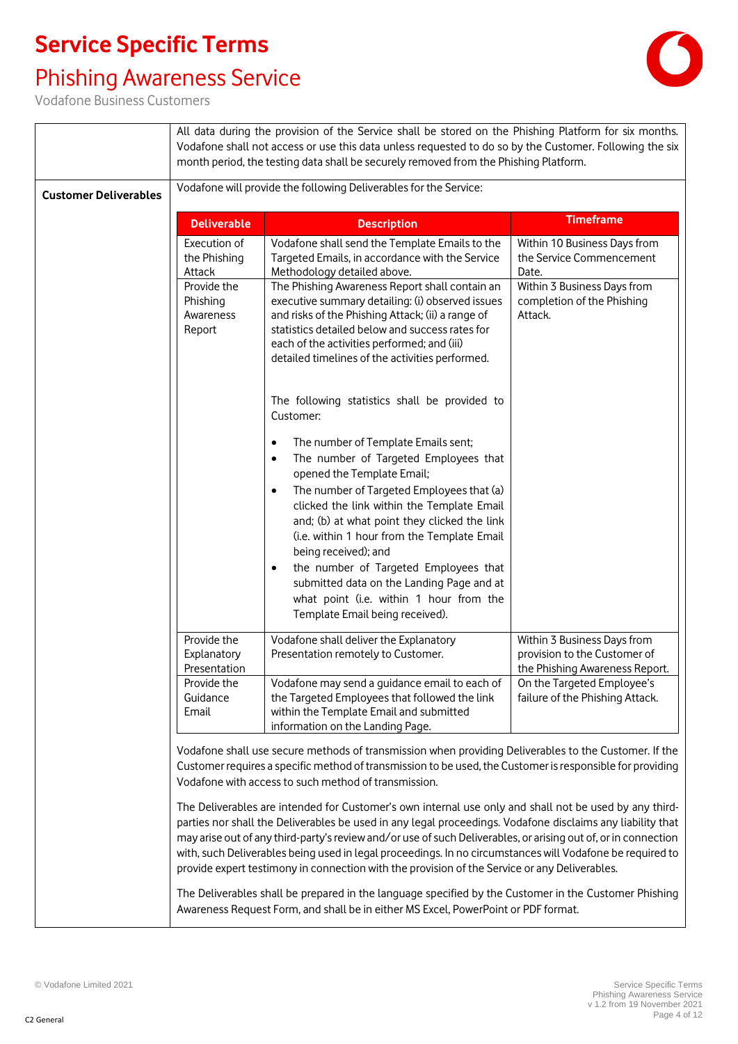## Phishing Awareness Service



|                              |                                                                                | All data during the provision of the Service shall be stored on the Phishing Platform for six months.<br>Vodafone shall not access or use this data unless requested to do so by the Customer. Following the six<br>month period, the testing data shall be securely removed from the Phishing Platform.                                                                                                                                                                                                                                                                                                                                                                                                                                                                                                                                                                                                                                                                        |                                                                                                                                                                |
|------------------------------|--------------------------------------------------------------------------------|---------------------------------------------------------------------------------------------------------------------------------------------------------------------------------------------------------------------------------------------------------------------------------------------------------------------------------------------------------------------------------------------------------------------------------------------------------------------------------------------------------------------------------------------------------------------------------------------------------------------------------------------------------------------------------------------------------------------------------------------------------------------------------------------------------------------------------------------------------------------------------------------------------------------------------------------------------------------------------|----------------------------------------------------------------------------------------------------------------------------------------------------------------|
| <b>Customer Deliverables</b> | Vodafone will provide the following Deliverables for the Service:              |                                                                                                                                                                                                                                                                                                                                                                                                                                                                                                                                                                                                                                                                                                                                                                                                                                                                                                                                                                                 |                                                                                                                                                                |
|                              | <b>Deliverable</b>                                                             | <b>Description</b>                                                                                                                                                                                                                                                                                                                                                                                                                                                                                                                                                                                                                                                                                                                                                                                                                                                                                                                                                              | <b>Timeframe</b>                                                                                                                                               |
|                              | Execution of<br>the Phishing<br>Attack                                         | Vodafone shall send the Template Emails to the<br>Targeted Emails, in accordance with the Service<br>Methodology detailed above.                                                                                                                                                                                                                                                                                                                                                                                                                                                                                                                                                                                                                                                                                                                                                                                                                                                | Within 10 Business Days from<br>the Service Commencement<br>Date.                                                                                              |
|                              | Provide the<br>Phishing<br>Awareness<br>Report                                 | The Phishing Awareness Report shall contain an<br>executive summary detailing: (i) observed issues<br>and risks of the Phishing Attack; (ii) a range of<br>statistics detailed below and success rates for<br>each of the activities performed; and (iii)<br>detailed timelines of the activities performed.<br>The following statistics shall be provided to                                                                                                                                                                                                                                                                                                                                                                                                                                                                                                                                                                                                                   | Within 3 Business Days from<br>completion of the Phishing<br>Attack.                                                                                           |
|                              |                                                                                | Customer:<br>The number of Template Emails sent;<br>٠<br>The number of Targeted Employees that<br>٠<br>opened the Template Email;<br>The number of Targeted Employees that (a)<br>clicked the link within the Template Email<br>and; (b) at what point they clicked the link<br>(i.e. within 1 hour from the Template Email<br>being received); and<br>the number of Targeted Employees that<br>٠<br>submitted data on the Landing Page and at<br>what point (i.e. within 1 hour from the<br>Template Email being received).                                                                                                                                                                                                                                                                                                                                                                                                                                                    |                                                                                                                                                                |
|                              | Provide the<br>Explanatory<br>Presentation<br>Provide the<br>Guidance<br>Email | Vodafone shall deliver the Explanatory<br>Presentation remotely to Customer.<br>Vodafone may send a guidance email to each of<br>the Targeted Employees that followed the link<br>within the Template Email and submitted                                                                                                                                                                                                                                                                                                                                                                                                                                                                                                                                                                                                                                                                                                                                                       | Within 3 Business Days from<br>provision to the Customer of<br>the Phishing Awareness Report.<br>On the Targeted Employee's<br>failure of the Phishing Attack. |
|                              |                                                                                | information on the Landing Page.<br>Vodafone shall use secure methods of transmission when providing Deliverables to the Customer. If the<br>Customer requires a specific method of transmission to be used, the Customer is responsible for providing<br>Vodafone with access to such method of transmission.<br>The Deliverables are intended for Customer's own internal use only and shall not be used by any third-<br>parties nor shall the Deliverables be used in any legal proceedings. Vodafone disclaims any liability that<br>may arise out of any third-party's review and/or use of such Deliverables, or arising out of, or in connection<br>with, such Deliverables being used in legal proceedings. In no circumstances will Vodafone be required to<br>provide expert testimony in connection with the provision of the Service or any Deliverables.<br>The Deliverables shall be prepared in the language specified by the Customer in the Customer Phishing |                                                                                                                                                                |
|                              |                                                                                | Awareness Request Form, and shall be in either MS Excel, PowerPoint or PDF format.                                                                                                                                                                                                                                                                                                                                                                                                                                                                                                                                                                                                                                                                                                                                                                                                                                                                                              |                                                                                                                                                                |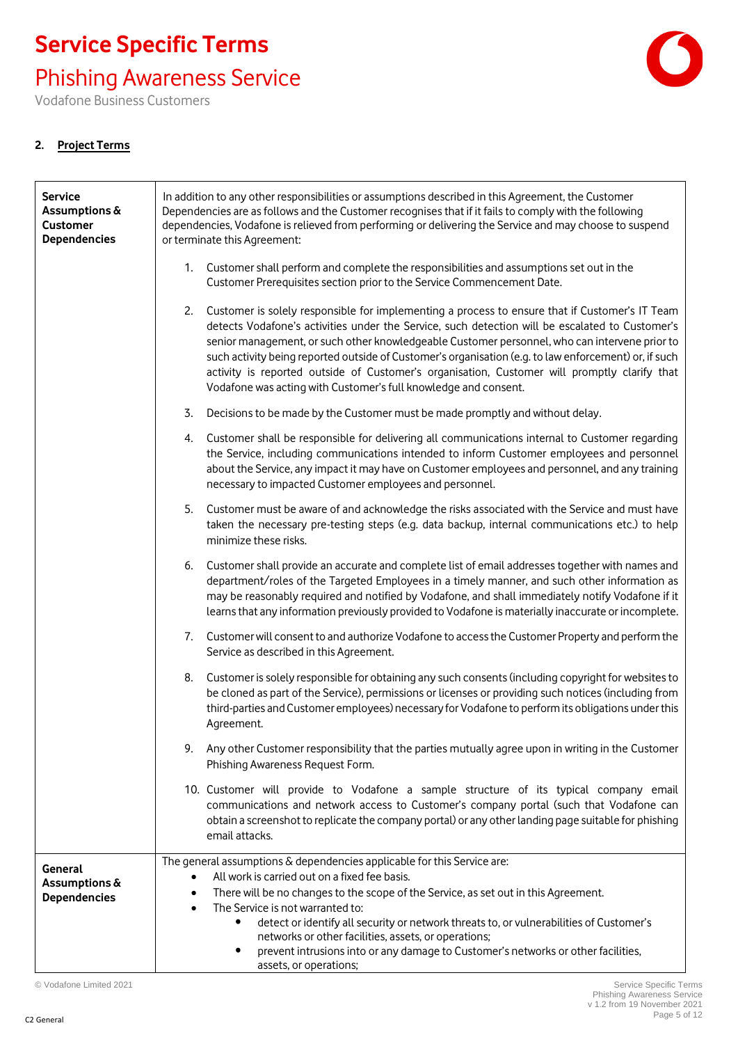Phishing Awareness Service

Vodafone Business Customers

### **2. Project Terms**

| <b>Service</b><br>Assumptions &<br><b>Customer</b><br><b>Dependencies</b> | In addition to any other responsibilities or assumptions described in this Agreement, the Customer<br>Dependencies are as follows and the Customer recognises that if it fails to comply with the following<br>dependencies, Vodafone is relieved from performing or delivering the Service and may choose to suspend<br>or terminate this Agreement:                                                                                                                                                                                                                                |  |  |
|---------------------------------------------------------------------------|--------------------------------------------------------------------------------------------------------------------------------------------------------------------------------------------------------------------------------------------------------------------------------------------------------------------------------------------------------------------------------------------------------------------------------------------------------------------------------------------------------------------------------------------------------------------------------------|--|--|
|                                                                           | 1. Customer shall perform and complete the responsibilities and assumptions set out in the<br>Customer Prerequisites section prior to the Service Commencement Date.                                                                                                                                                                                                                                                                                                                                                                                                                 |  |  |
|                                                                           | 2.<br>Customer is solely responsible for implementing a process to ensure that if Customer's IT Team<br>detects Vodafone's activities under the Service, such detection will be escalated to Customer's<br>senior management, or such other knowledgeable Customer personnel, who can intervene prior to<br>such activity being reported outside of Customer's organisation (e.g. to law enforcement) or, if such<br>activity is reported outside of Customer's organisation, Customer will promptly clarify that<br>Vodafone was acting with Customer's full knowledge and consent. |  |  |
|                                                                           | 3.<br>Decisions to be made by the Customer must be made promptly and without delay.                                                                                                                                                                                                                                                                                                                                                                                                                                                                                                  |  |  |
|                                                                           | 4. Customer shall be responsible for delivering all communications internal to Customer regarding<br>the Service, including communications intended to inform Customer employees and personnel<br>about the Service, any impact it may have on Customer employees and personnel, and any training<br>necessary to impacted Customer employees and personnel.                                                                                                                                                                                                                         |  |  |
|                                                                           | 5.<br>Customer must be aware of and acknowledge the risks associated with the Service and must have<br>taken the necessary pre-testing steps (e.g. data backup, internal communications etc.) to help<br>minimize these risks.                                                                                                                                                                                                                                                                                                                                                       |  |  |
|                                                                           | Customer shall provide an accurate and complete list of email addresses together with names and<br>6.<br>department/roles of the Targeted Employees in a timely manner, and such other information as<br>may be reasonably required and notified by Vodafone, and shall immediately notify Vodafone if it<br>learns that any information previously provided to Vodafone is materially inaccurate or incomplete.                                                                                                                                                                     |  |  |
|                                                                           | Customer will consent to and authorize Vodafone to access the Customer Property and perform the<br>7.<br>Service as described in this Agreement.                                                                                                                                                                                                                                                                                                                                                                                                                                     |  |  |
|                                                                           | Customer is solely responsible for obtaining any such consents (including copyright for websites to<br>8.<br>be cloned as part of the Service), permissions or licenses or providing such notices (including from<br>third-parties and Customer employees) necessary for Vodafone to perform its obligations under this<br>Agreement.                                                                                                                                                                                                                                                |  |  |
|                                                                           | 9. Any other Customer responsibility that the parties mutually agree upon in writing in the Customer<br>Phishing Awareness Request Form.                                                                                                                                                                                                                                                                                                                                                                                                                                             |  |  |
|                                                                           | 10. Customer will provide to Vodafone a sample structure of its typical company email<br>communications and network access to Customer's company portal (such that Vodafone can<br>obtain a screenshot to replicate the company portal) or any other landing page suitable for phishing<br>email attacks.                                                                                                                                                                                                                                                                            |  |  |
| General<br>Assumptions &<br><b>Dependencies</b>                           | The general assumptions & dependencies applicable for this Service are:<br>All work is carried out on a fixed fee basis.<br>There will be no changes to the scope of the Service, as set out in this Agreement.<br>٠<br>The Service is not warranted to:<br>$\bullet$<br>detect or identify all security or network threats to, or vulnerabilities of Customer's<br>networks or other facilities, assets, or operations;<br>prevent intrusions into or any damage to Customer's networks or other facilities,<br>٠<br>assets, or operations;                                         |  |  |

© Vodafone Limited 2021 Service Specific Terms

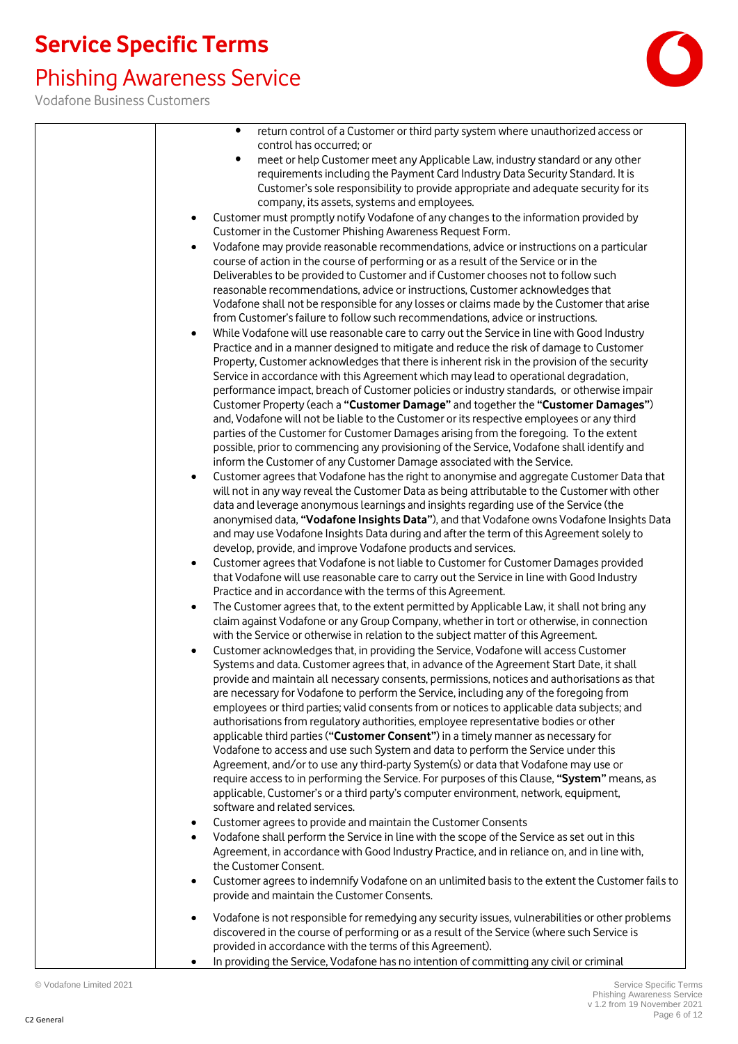# Phishing Awareness Service

| return control of a Customer or third party system where unauthorized access or<br>$\bullet$<br>control has occurred; or<br>meet or help Customer meet any Applicable Law, industry standard or any other<br>$\bullet$<br>requirements including the Payment Card Industry Data Security Standard. It is<br>Customer's sole responsibility to provide appropriate and adequate security for its<br>company, its assets, systems and employees.<br>Customer must promptly notify Vodafone of any changes to the information provided by<br>Customer in the Customer Phishing Awareness Request Form.<br>Vodafone may provide reasonable recommendations, advice or instructions on a particular<br>$\bullet$<br>course of action in the course of performing or as a result of the Service or in the<br>Deliverables to be provided to Customer and if Customer chooses not to follow such<br>reasonable recommendations, advice or instructions, Customer acknowledges that<br>Vodafone shall not be responsible for any losses or claims made by the Customer that arise<br>from Customer's failure to follow such recommendations, advice or instructions.<br>While Vodafone will use reasonable care to carry out the Service in line with Good Industry<br>$\bullet$<br>Practice and in a manner designed to mitigate and reduce the risk of damage to Customer<br>Property, Customer acknowledges that there is inherent risk in the provision of the security<br>Service in accordance with this Agreement which may lead to operational degradation,<br>performance impact, breach of Customer policies or industry standards, or otherwise impair<br>Customer Property (each a "Customer Damage" and together the "Customer Damages")<br>and, Vodafone will not be liable to the Customer or its respective employees or any third<br>parties of the Customer for Customer Damages arising from the foregoing. To the extent<br>possible, prior to commencing any provisioning of the Service, Vodafone shall identify and<br>inform the Customer of any Customer Damage associated with the Service.<br>Customer agrees that Vodafone has the right to anonymise and aggregate Customer Data that<br>will not in any way reveal the Customer Data as being attributable to the Customer with other<br>data and leverage anonymous learnings and insights regarding use of the Service (the<br>anonymised data, "Vodafone Insights Data"), and that Vodafone owns Vodafone Insights Data<br>and may use Vodafone Insights Data during and after the term of this Agreement solely to<br>develop, provide, and improve Vodafone products and services.<br>Customer agrees that Vodafone is not liable to Customer for Customer Damages provided<br>$\bullet$<br>that Vodafone will use reasonable care to carry out the Service in line with Good Industry<br>Practice and in accordance with the terms of this Agreement.<br>The Customer agrees that, to the extent permitted by Applicable Law, it shall not bring any<br>$\bullet$<br>claim against Vodafone or any Group Company, whether in tort or otherwise, in connection<br>with the Service or otherwise in relation to the subject matter of this Agreement.<br>Customer acknowledges that, in providing the Service, Vodafone will access Customer<br>Systems and data. Customer agrees that, in advance of the Agreement Start Date, it shall |
|--------------------------------------------------------------------------------------------------------------------------------------------------------------------------------------------------------------------------------------------------------------------------------------------------------------------------------------------------------------------------------------------------------------------------------------------------------------------------------------------------------------------------------------------------------------------------------------------------------------------------------------------------------------------------------------------------------------------------------------------------------------------------------------------------------------------------------------------------------------------------------------------------------------------------------------------------------------------------------------------------------------------------------------------------------------------------------------------------------------------------------------------------------------------------------------------------------------------------------------------------------------------------------------------------------------------------------------------------------------------------------------------------------------------------------------------------------------------------------------------------------------------------------------------------------------------------------------------------------------------------------------------------------------------------------------------------------------------------------------------------------------------------------------------------------------------------------------------------------------------------------------------------------------------------------------------------------------------------------------------------------------------------------------------------------------------------------------------------------------------------------------------------------------------------------------------------------------------------------------------------------------------------------------------------------------------------------------------------------------------------------------------------------------------------------------------------------------------------------------------------------------------------------------------------------------------------------------------------------------------------------------------------------------------------------------------------------------------------------------------------------------------------------------------------------------------------------------------------------------------------------------------------------------------------------------------------------------------------------------------------------------------------------------------------------------------------------------------------------------------------------------------------------------------------------------------------------------------------------------------------------------------------------------------------------------------------------------------------------------------------------------------------------------------|
|                                                                                                                                                                                                                                                                                                                                                                                                                                                                                                                                                                                                                                                                                                                                                                                                                                                                                                                                                                                                                                                                                                                                                                                                                                                                                                                                                                                                                                                                                                                                                                                                                                                                                                                                                                                                                                                                                                                                                                                                                                                                                                                                                                                                                                                                                                                                                                                                                                                                                                                                                                                                                                                                                                                                                                                                                                                                                                                                                                                                                                                                                                                                                                                                                                                                                                                                                                                                                    |
|                                                                                                                                                                                                                                                                                                                                                                                                                                                                                                                                                                                                                                                                                                                                                                                                                                                                                                                                                                                                                                                                                                                                                                                                                                                                                                                                                                                                                                                                                                                                                                                                                                                                                                                                                                                                                                                                                                                                                                                                                                                                                                                                                                                                                                                                                                                                                                                                                                                                                                                                                                                                                                                                                                                                                                                                                                                                                                                                                                                                                                                                                                                                                                                                                                                                                                                                                                                                                    |
|                                                                                                                                                                                                                                                                                                                                                                                                                                                                                                                                                                                                                                                                                                                                                                                                                                                                                                                                                                                                                                                                                                                                                                                                                                                                                                                                                                                                                                                                                                                                                                                                                                                                                                                                                                                                                                                                                                                                                                                                                                                                                                                                                                                                                                                                                                                                                                                                                                                                                                                                                                                                                                                                                                                                                                                                                                                                                                                                                                                                                                                                                                                                                                                                                                                                                                                                                                                                                    |
|                                                                                                                                                                                                                                                                                                                                                                                                                                                                                                                                                                                                                                                                                                                                                                                                                                                                                                                                                                                                                                                                                                                                                                                                                                                                                                                                                                                                                                                                                                                                                                                                                                                                                                                                                                                                                                                                                                                                                                                                                                                                                                                                                                                                                                                                                                                                                                                                                                                                                                                                                                                                                                                                                                                                                                                                                                                                                                                                                                                                                                                                                                                                                                                                                                                                                                                                                                                                                    |
|                                                                                                                                                                                                                                                                                                                                                                                                                                                                                                                                                                                                                                                                                                                                                                                                                                                                                                                                                                                                                                                                                                                                                                                                                                                                                                                                                                                                                                                                                                                                                                                                                                                                                                                                                                                                                                                                                                                                                                                                                                                                                                                                                                                                                                                                                                                                                                                                                                                                                                                                                                                                                                                                                                                                                                                                                                                                                                                                                                                                                                                                                                                                                                                                                                                                                                                                                                                                                    |
|                                                                                                                                                                                                                                                                                                                                                                                                                                                                                                                                                                                                                                                                                                                                                                                                                                                                                                                                                                                                                                                                                                                                                                                                                                                                                                                                                                                                                                                                                                                                                                                                                                                                                                                                                                                                                                                                                                                                                                                                                                                                                                                                                                                                                                                                                                                                                                                                                                                                                                                                                                                                                                                                                                                                                                                                                                                                                                                                                                                                                                                                                                                                                                                                                                                                                                                                                                                                                    |
| provide and maintain all necessary consents, permissions, notices and authorisations as that<br>are necessary for Vodafone to perform the Service, including any of the foregoing from<br>employees or third parties; valid consents from or notices to applicable data subjects; and<br>authorisations from regulatory authorities, employee representative bodies or other<br>applicable third parties ("Customer Consent") in a timely manner as necessary for<br>Vodafone to access and use such System and data to perform the Service under this<br>Agreement, and/or to use any third-party System(s) or data that Vodafone may use or<br>require access to in performing the Service. For purposes of this Clause, "System" means, as<br>applicable, Customer's or a third party's computer environment, network, equipment,<br>software and related services.                                                                                                                                                                                                                                                                                                                                                                                                                                                                                                                                                                                                                                                                                                                                                                                                                                                                                                                                                                                                                                                                                                                                                                                                                                                                                                                                                                                                                                                                                                                                                                                                                                                                                                                                                                                                                                                                                                                                                                                                                                                                                                                                                                                                                                                                                                                                                                                                                                                                                                                                             |
| Customer agrees to provide and maintain the Customer Consents<br>٠<br>Vodafone shall perform the Service in line with the scope of the Service as set out in this<br>$\bullet$<br>Agreement, in accordance with Good Industry Practice, and in reliance on, and in line with,<br>the Customer Consent.<br>Customer agrees to indemnify Vodafone on an unlimited basis to the extent the Customer fails to<br>٠                                                                                                                                                                                                                                                                                                                                                                                                                                                                                                                                                                                                                                                                                                                                                                                                                                                                                                                                                                                                                                                                                                                                                                                                                                                                                                                                                                                                                                                                                                                                                                                                                                                                                                                                                                                                                                                                                                                                                                                                                                                                                                                                                                                                                                                                                                                                                                                                                                                                                                                                                                                                                                                                                                                                                                                                                                                                                                                                                                                                     |
| provide and maintain the Customer Consents.<br>Vodafone is not responsible for remedying any security issues, vulnerabilities or other problems<br>discovered in the course of performing or as a result of the Service (where such Service is<br>provided in accordance with the terms of this Agreement).<br>In providing the Service, Vodafone has no intention of committing any civil or criminal<br>$\bullet$                                                                                                                                                                                                                                                                                                                                                                                                                                                                                                                                                                                                                                                                                                                                                                                                                                                                                                                                                                                                                                                                                                                                                                                                                                                                                                                                                                                                                                                                                                                                                                                                                                                                                                                                                                                                                                                                                                                                                                                                                                                                                                                                                                                                                                                                                                                                                                                                                                                                                                                                                                                                                                                                                                                                                                                                                                                                                                                                                                                                |
|                                                                                                                                                                                                                                                                                                                                                                                                                                                                                                                                                                                                                                                                                                                                                                                                                                                                                                                                                                                                                                                                                                                                                                                                                                                                                                                                                                                                                                                                                                                                                                                                                                                                                                                                                                                                                                                                                                                                                                                                                                                                                                                                                                                                                                                                                                                                                                                                                                                                                                                                                                                                                                                                                                                                                                                                                                                                                                                                                                                                                                                                                                                                                                                                                                                                                                                                                                                                                    |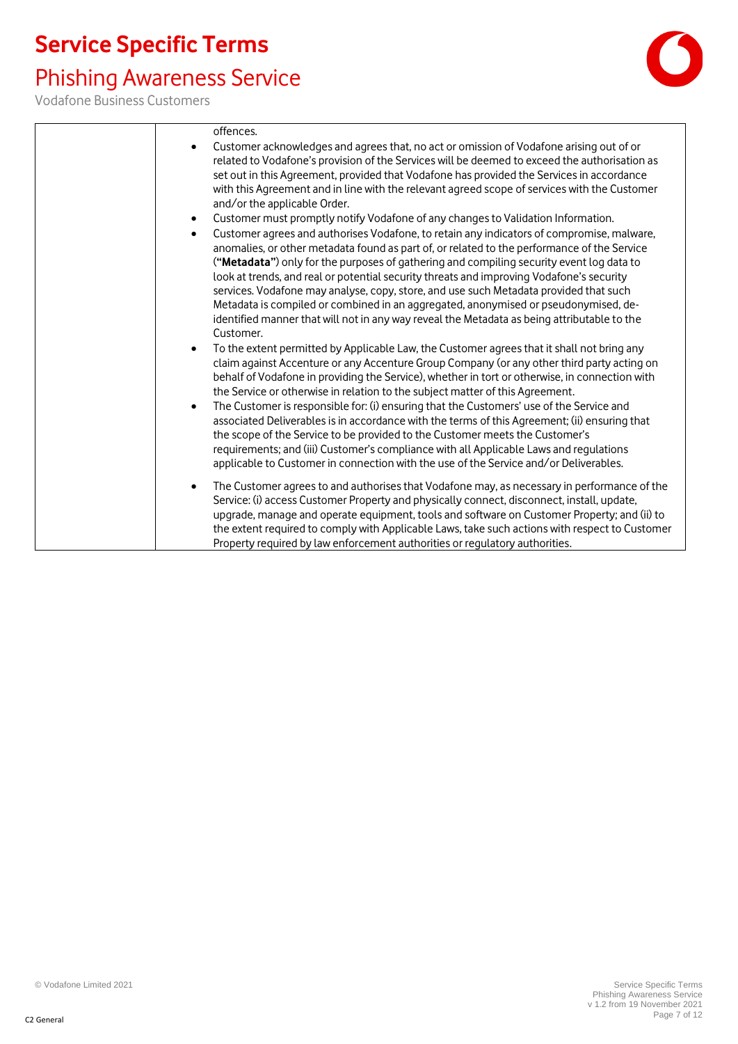### Phishing Awareness Service

Vodafone Business Customers



offences. • Customer acknowledges and agrees that, no act or omission of Vodafone arising out of or related to Vodafone's provision of the Services will be deemed to exceed the authorisation as set out in this Agreement, provided that Vodafone has provided the Services in accordance with this Agreement and in line with the relevant agreed scope of services with the Customer and/or the applicable Order. • Customer must promptly notify Vodafone of any changes to Validation Information. • Customer agrees and authorises Vodafone, to retain any indicators of compromise, malware, anomalies, or other metadata found as part of, or related to the performance of the Service (**"Metadata"**) only for the purposes of gathering and compiling security event log data to look at trends, and real or potential security threats and improving Vodafone's security services. Vodafone may analyse, copy, store, and use such Metadata provided that such Metadata is compiled or combined in an aggregated, anonymised or pseudonymised, deidentified manner that will not in any way reveal the Metadata as being attributable to the Customer. • To the extent permitted by Applicable Law, the Customer agrees that it shall not bring any claim against Accenture or any Accenture Group Company (or any other third party acting on behalf of Vodafone in providing the Service), whether in tort or otherwise, in connection with the Service or otherwise in relation to the subject matter of this Agreement. • The Customer is responsible for: (i) ensuring that the Customers' use of the Service and associated Deliverables is in accordance with the terms of this Agreement; (ii) ensuring that the scope of the Service to be provided to the Customer meets the Customer's requirements; and (iii) Customer's compliance with all Applicable Laws and regulations applicable to Customer in connection with the use of the Service and/or Deliverables. • The Customer agrees to and authorises that Vodafone may, as necessary in performance of the Service: (i) access Customer Property and physically connect, disconnect, install, update, upgrade, manage and operate equipment, tools and software on Customer Property; and (ii) to the extent required to comply with Applicable Laws, take such actions with respect to Customer Property required by law enforcement authorities or regulatory authorities.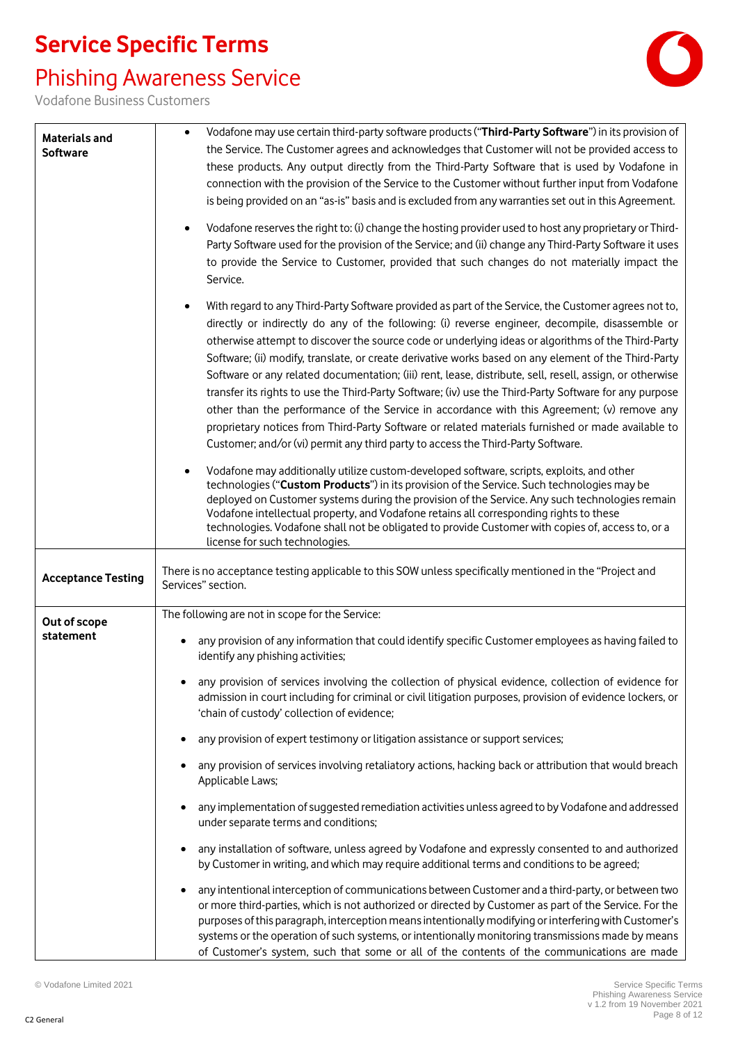### Phishing Awareness Service



| <b>Materials and</b><br><b>Software</b> | Vodafone may use certain third-party software products ("Third-Party Software") in its provision of<br>the Service. The Customer agrees and acknowledges that Customer will not be provided access to<br>these products. Any output directly from the Third-Party Software that is used by Vodafone in<br>connection with the provision of the Service to the Customer without further input from Vodafone<br>is being provided on an "as-is" basis and is excluded from any warranties set out in this Agreement.                                                                                                                                                                                                                                                                                                                                                                                                                                                                                                                                                                                                                                                                                                                                                                                                                                       |
|-----------------------------------------|----------------------------------------------------------------------------------------------------------------------------------------------------------------------------------------------------------------------------------------------------------------------------------------------------------------------------------------------------------------------------------------------------------------------------------------------------------------------------------------------------------------------------------------------------------------------------------------------------------------------------------------------------------------------------------------------------------------------------------------------------------------------------------------------------------------------------------------------------------------------------------------------------------------------------------------------------------------------------------------------------------------------------------------------------------------------------------------------------------------------------------------------------------------------------------------------------------------------------------------------------------------------------------------------------------------------------------------------------------|
|                                         | Vodafone reserves the right to: (i) change the hosting provider used to host any proprietary or Third-<br>$\bullet$<br>Party Software used for the provision of the Service; and (ii) change any Third-Party Software it uses<br>to provide the Service to Customer, provided that such changes do not materially impact the<br>Service.                                                                                                                                                                                                                                                                                                                                                                                                                                                                                                                                                                                                                                                                                                                                                                                                                                                                                                                                                                                                                 |
|                                         | With regard to any Third-Party Software provided as part of the Service, the Customer agrees not to,<br>$\bullet$<br>directly or indirectly do any of the following: (i) reverse engineer, decompile, disassemble or<br>otherwise attempt to discover the source code or underlying ideas or algorithms of the Third-Party<br>Software; (ii) modify, translate, or create derivative works based on any element of the Third-Party<br>Software or any related documentation; (iii) rent, lease, distribute, sell, resell, assign, or otherwise<br>transfer its rights to use the Third-Party Software; (iv) use the Third-Party Software for any purpose<br>other than the performance of the Service in accordance with this Agreement; (v) remove any<br>proprietary notices from Third-Party Software or related materials furnished or made available to<br>Customer; and/or (vi) permit any third party to access the Third-Party Software.                                                                                                                                                                                                                                                                                                                                                                                                         |
|                                         | Vodafone may additionally utilize custom-developed software, scripts, exploits, and other<br>technologies ("Custom Products") in its provision of the Service. Such technologies may be<br>deployed on Customer systems during the provision of the Service. Any such technologies remain<br>Vodafone intellectual property, and Vodafone retains all corresponding rights to these<br>technologies. Vodafone shall not be obligated to provide Customer with copies of, access to, or a<br>license for such technologies.                                                                                                                                                                                                                                                                                                                                                                                                                                                                                                                                                                                                                                                                                                                                                                                                                               |
| <b>Acceptance Testing</b>               | There is no acceptance testing applicable to this SOW unless specifically mentioned in the "Project and<br>Services" section.                                                                                                                                                                                                                                                                                                                                                                                                                                                                                                                                                                                                                                                                                                                                                                                                                                                                                                                                                                                                                                                                                                                                                                                                                            |
| Out of scope<br>statement               | The following are not in scope for the Service:<br>any provision of any information that could identify specific Customer employees as having failed to<br>identify any phishing activities;<br>any provision of services involving the collection of physical evidence, collection of evidence for<br>admission in court including for criminal or civil litigation purposes, provision of evidence lockers, or<br>'chain of custody' collection of evidence;<br>any provision of expert testimony or litigation assistance or support services;<br>any provision of services involving retaliatory actions, hacking back or attribution that would breach<br>Applicable Laws;<br>any implementation of suggested remediation activities unless agreed to by Vodafone and addressed<br>under separate terms and conditions;<br>any installation of software, unless agreed by Vodafone and expressly consented to and authorized<br>by Customer in writing, and which may require additional terms and conditions to be agreed;<br>any intentional interception of communications between Customer and a third-party, or between two<br>or more third-parties, which is not authorized or directed by Customer as part of the Service. For the<br>purposes of this paragraph, interception means intentionally modifying or interfering with Customer's |
|                                         | systems or the operation of such systems, or intentionally monitoring transmissions made by means<br>of Customer's system, such that some or all of the contents of the communications are made                                                                                                                                                                                                                                                                                                                                                                                                                                                                                                                                                                                                                                                                                                                                                                                                                                                                                                                                                                                                                                                                                                                                                          |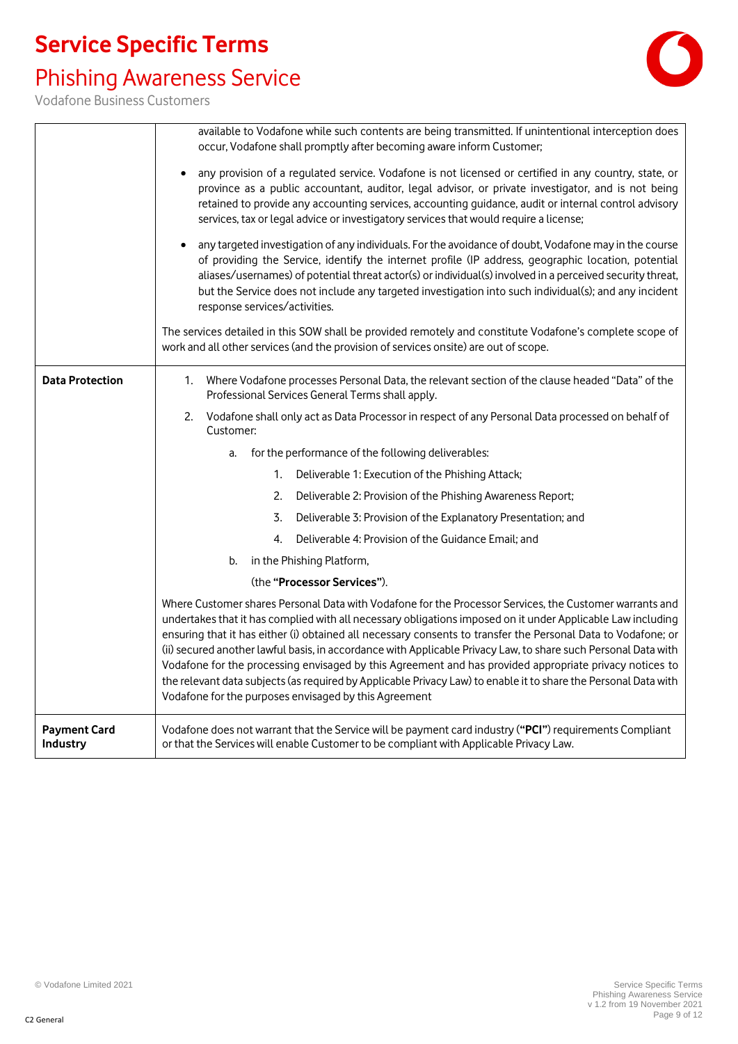## Phishing Awareness Service



|                                 | available to Vodafone while such contents are being transmitted. If unintentional interception does                                                                                                                                                                                                                                                                                                                                                                                                                                                                                                                                                                                                                                              |  |  |
|---------------------------------|--------------------------------------------------------------------------------------------------------------------------------------------------------------------------------------------------------------------------------------------------------------------------------------------------------------------------------------------------------------------------------------------------------------------------------------------------------------------------------------------------------------------------------------------------------------------------------------------------------------------------------------------------------------------------------------------------------------------------------------------------|--|--|
|                                 | occur, Vodafone shall promptly after becoming aware inform Customer;                                                                                                                                                                                                                                                                                                                                                                                                                                                                                                                                                                                                                                                                             |  |  |
|                                 | any provision of a regulated service. Vodafone is not licensed or certified in any country, state, or<br>province as a public accountant, auditor, legal advisor, or private investigator, and is not being                                                                                                                                                                                                                                                                                                                                                                                                                                                                                                                                      |  |  |
|                                 | retained to provide any accounting services, accounting guidance, audit or internal control advisory                                                                                                                                                                                                                                                                                                                                                                                                                                                                                                                                                                                                                                             |  |  |
|                                 | services, tax or legal advice or investigatory services that would require a license;                                                                                                                                                                                                                                                                                                                                                                                                                                                                                                                                                                                                                                                            |  |  |
|                                 | any targeted investigation of any individuals. For the avoidance of doubt, Vodafone may in the course<br>of providing the Service, identify the internet profile (IP address, geographic location, potential<br>aliases/usernames) of potential threat actor(s) or individual(s) involved in a perceived security threat,<br>but the Service does not include any targeted investigation into such individual(s); and any incident<br>response services/activities.                                                                                                                                                                                                                                                                              |  |  |
|                                 | The services detailed in this SOW shall be provided remotely and constitute Vodafone's complete scope of<br>work and all other services (and the provision of services onsite) are out of scope.                                                                                                                                                                                                                                                                                                                                                                                                                                                                                                                                                 |  |  |
| <b>Data Protection</b>          | Where Vodafone processes Personal Data, the relevant section of the clause headed "Data" of the<br>1.<br>Professional Services General Terms shall apply.                                                                                                                                                                                                                                                                                                                                                                                                                                                                                                                                                                                        |  |  |
|                                 | Vodafone shall only act as Data Processor in respect of any Personal Data processed on behalf of<br>2.<br>Customer:                                                                                                                                                                                                                                                                                                                                                                                                                                                                                                                                                                                                                              |  |  |
|                                 | for the performance of the following deliverables:<br>a.                                                                                                                                                                                                                                                                                                                                                                                                                                                                                                                                                                                                                                                                                         |  |  |
|                                 | Deliverable 1: Execution of the Phishing Attack;<br>1.                                                                                                                                                                                                                                                                                                                                                                                                                                                                                                                                                                                                                                                                                           |  |  |
|                                 | 2.<br>Deliverable 2: Provision of the Phishing Awareness Report;                                                                                                                                                                                                                                                                                                                                                                                                                                                                                                                                                                                                                                                                                 |  |  |
|                                 | Deliverable 3: Provision of the Explanatory Presentation; and<br>3.                                                                                                                                                                                                                                                                                                                                                                                                                                                                                                                                                                                                                                                                              |  |  |
|                                 | Deliverable 4: Provision of the Guidance Email; and<br>4.                                                                                                                                                                                                                                                                                                                                                                                                                                                                                                                                                                                                                                                                                        |  |  |
|                                 | in the Phishing Platform,<br>b.                                                                                                                                                                                                                                                                                                                                                                                                                                                                                                                                                                                                                                                                                                                  |  |  |
|                                 | (the "Processor Services").                                                                                                                                                                                                                                                                                                                                                                                                                                                                                                                                                                                                                                                                                                                      |  |  |
|                                 | Where Customer shares Personal Data with Vodafone for the Processor Services, the Customer warrants and<br>undertakes that it has complied with all necessary obligations imposed on it under Applicable Law including<br>ensuring that it has either (i) obtained all necessary consents to transfer the Personal Data to Vodafone; or<br>(ii) secured another lawful basis, in accordance with Applicable Privacy Law, to share such Personal Data with<br>Vodafone for the processing envisaged by this Agreement and has provided appropriate privacy notices to<br>the relevant data subjects (as required by Applicable Privacy Law) to enable it to share the Personal Data with<br>Vodafone for the purposes envisaged by this Agreement |  |  |
| <b>Payment Card</b><br>Industry | Vodafone does not warrant that the Service will be payment card industry ("PCI") requirements Compliant<br>or that the Services will enable Customer to be compliant with Applicable Privacy Law.                                                                                                                                                                                                                                                                                                                                                                                                                                                                                                                                                |  |  |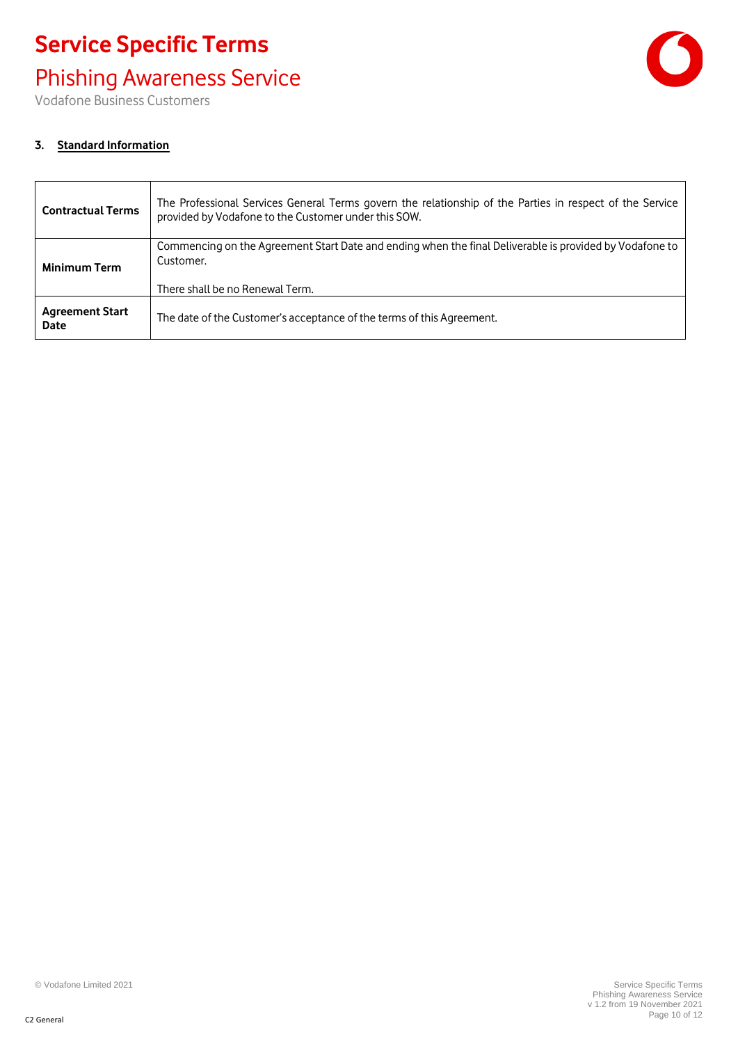## Phishing Awareness Service

Vodafone Business Customers



### **3. Standard Information**

| <b>Contractual Terms</b>       | The Professional Services General Terms govern the relationship of the Parties in respect of the Service<br>provided by Vodafone to the Customer under this SOW. |
|--------------------------------|------------------------------------------------------------------------------------------------------------------------------------------------------------------|
| <b>Minimum Term</b>            | Commencing on the Agreement Start Date and ending when the final Deliverable is provided by Vodafone to<br>Customer.                                             |
|                                | There shall be no Renewal Term.                                                                                                                                  |
| <b>Agreement Start</b><br>Date | The date of the Customer's acceptance of the terms of this Agreement.                                                                                            |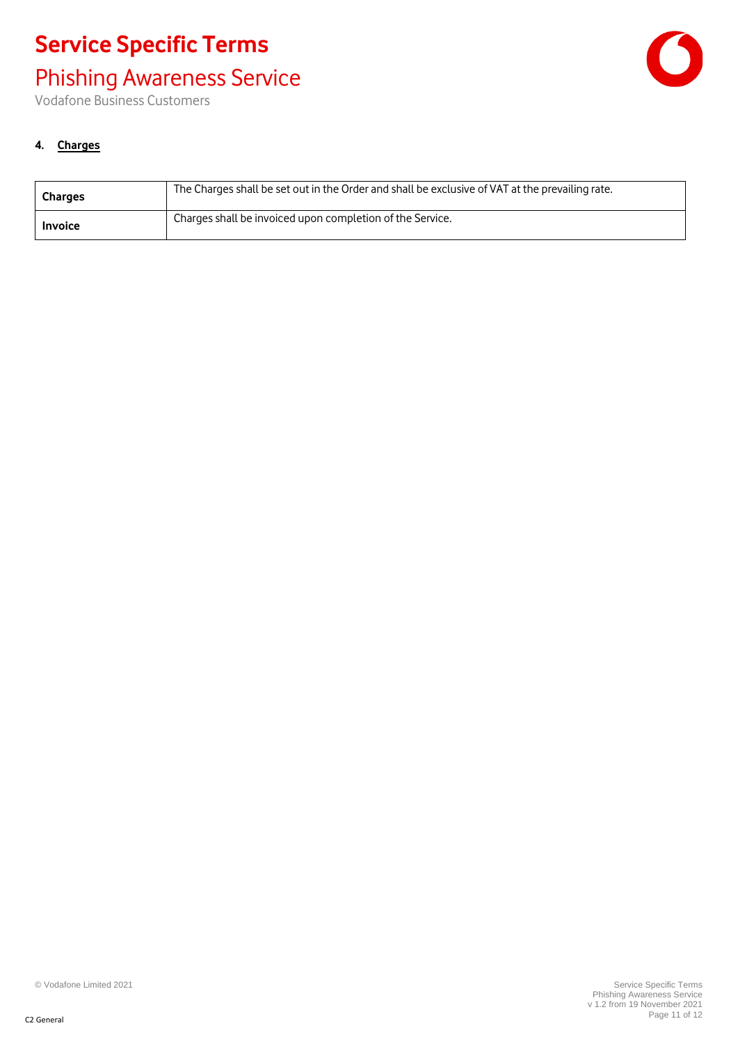## Phishing Awareness Service

Vodafone Business Customers



### **4. Charges**

| <b>Charges</b> | The Charges shall be set out in the Order and shall be exclusive of VAT at the prevailing rate. |
|----------------|-------------------------------------------------------------------------------------------------|
| <b>Invoice</b> | Charges shall be invoiced upon completion of the Service.                                       |

© Vodafone Limited 2021 Service Specific Terms